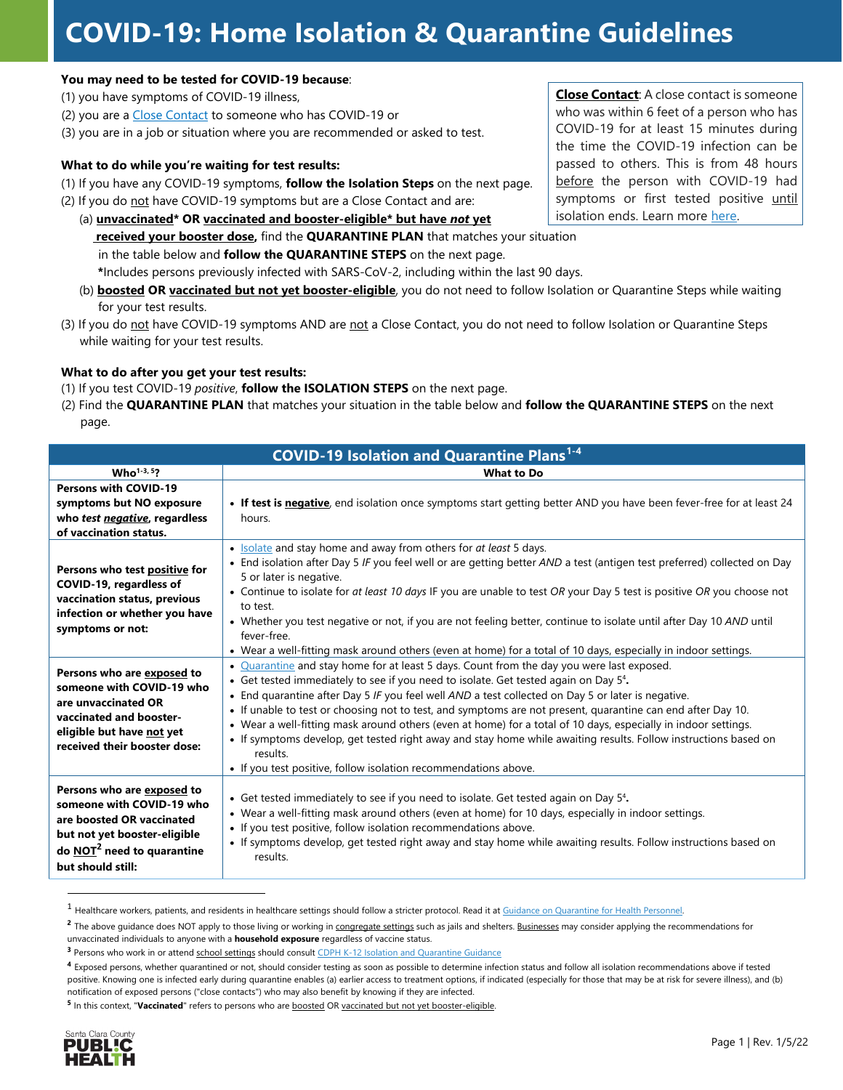# **COVID-19: Home Isolation & Quarantine Guidelines**

#### **You may need to be tested for COVID-19 because**:

(1) you have symptoms of COVID-19 illness,

- (2) you are a [Close Contact](https://covid19.sccgov.org/contact-tracing#close-contact) to someone who has COVID-19 or
- (3) you are in a job or situation where you are recommended or asked to test.

#### **What to do while you're waiting for test results:**

- (1) If you have any COVID-19 symptoms, **follow the Isolation Steps** on the next page.
- (2) If you do not have COVID-19 symptoms but are a Close Contact and are: (a) **unvaccinated\* OR vaccinated and booster-eligible\* but have** *not* **yet received your booster dose,** find the **QUARANTINE PLAN** that matches your situation
	- in the table below and **follow the QUARANTINE STEPS** on the next page.

**\***Includes persons previously infected with SARS-CoV-2, including within the last 90 days.

- (b) **boosted OR vaccinated but not yet booster-eligible**, you do not need to follow Isolation or Quarantine Steps while waiting for your test results.
- (3) If you do not have COVID-19 symptoms AND are not a Close Contact, you do not need to follow Isolation or Quarantine Steps while waiting for your test results.

#### **What to do after you get your test results:**

- (1) If you test COVID-19 *positive*, **follow the ISOLATION STEPS** on the next page.
- (2) Find the **QUARANTINE PLAN** that matches your situation in the table below and **follow the QUARANTINE STEPS** on the next page.

| <b>COVID-19 Isolation and Quarantine Plans<sup>1-4</sup></b>                                                                                                                          |                                                                                                                                                                                                                                                                                                                                                                                                                                                                                                                                                                                                                                                                                                                                       |
|---------------------------------------------------------------------------------------------------------------------------------------------------------------------------------------|---------------------------------------------------------------------------------------------------------------------------------------------------------------------------------------------------------------------------------------------------------------------------------------------------------------------------------------------------------------------------------------------------------------------------------------------------------------------------------------------------------------------------------------------------------------------------------------------------------------------------------------------------------------------------------------------------------------------------------------|
| $Who1-3, 5?$                                                                                                                                                                          | <b>What to Do</b>                                                                                                                                                                                                                                                                                                                                                                                                                                                                                                                                                                                                                                                                                                                     |
| <b>Persons with COVID-19</b><br>symptoms but NO exposure<br>who test negative, regardless<br>of vaccination status.                                                                   | • If test is negative, end isolation once symptoms start getting better AND you have been fever-free for at least 24<br>hours.                                                                                                                                                                                                                                                                                                                                                                                                                                                                                                                                                                                                        |
| Persons who test positive for<br>COVID-19, regardless of<br>vaccination status, previous<br>infection or whether you have<br>symptoms or not:                                         | • Isolate and stay home and away from others for at least 5 days.<br>• End isolation after Day 5 IF you feel well or are getting better AND a test (antigen test preferred) collected on Day<br>5 or later is negative.<br>• Continue to isolate for at least 10 days IF you are unable to test OR your Day 5 test is positive OR you choose not<br>to test.<br>• Whether you test negative or not, if you are not feeling better, continue to isolate until after Day 10 AND until<br>fever-free.<br>• Wear a well-fitting mask around others (even at home) for a total of 10 days, especially in indoor settings.                                                                                                                  |
| Persons who are exposed to<br>someone with COVID-19 who<br>are unvaccinated OR<br>vaccinated and booster-<br>eligible but have not yet<br>received their booster dose:                | • Quarantine and stay home for at least 5 days. Count from the day you were last exposed.<br>• Get tested immediately to see if you need to isolate. Get tested again on Day 5 <sup>4</sup> .<br>• End quarantine after Day 5 IF you feel well AND a test collected on Day 5 or later is negative.<br>• If unable to test or choosing not to test, and symptoms are not present, quarantine can end after Day 10.<br>• Wear a well-fitting mask around others (even at home) for a total of 10 days, especially in indoor settings.<br>• If symptoms develop, get tested right away and stay home while awaiting results. Follow instructions based on<br>results.<br>• If you test positive, follow isolation recommendations above. |
| Persons who are exposed to<br>someone with COVID-19 who<br>are boosted OR vaccinated<br>but not yet booster-eligible<br>do $\overline{NOT}^2$ need to quarantine<br>but should still: | • Get tested immediately to see if you need to isolate. Get tested again on Day 5 <sup>4</sup> .<br>• Wear a well-fitting mask around others (even at home) for 10 days, especially in indoor settings.<br>• If you test positive, follow isolation recommendations above.<br>• If symptoms develop, get tested right away and stay home while awaiting results. Follow instructions based on<br>results.                                                                                                                                                                                                                                                                                                                             |

<span id="page-0-0"></span><sup>&</sup>lt;sup>1</sup> Healthcare workers, patients, and residents in healthcare settings should follow a stricter protocol. Read it at **Guidance on Quarantine for Health Personnel**.

**<sup>5</sup>** In this context, "**Vaccinated**" refers to persons who are boosted OR vaccinated but not yet booster-eligible.



**Close Contact**: A close contact is someone who was within 6 feet of a person who has COVID-19 for at least 15 minutes during the time the COVID-19 infection can be passed to others. This is from 48 hours before the person with COVID-19 had symptoms or first tested positive until isolation ends. Learn mor[e here.](https://covid19.sccgov.org/contact-tracing#close-contact)

<sup>&</sup>lt;sup>2</sup> The above guidance does NOT apply to those living or working in congregate settings such as jails and shelters. Businesses may consider applying the recommendations for unvaccinated individuals to anyone with a **household exposure** regardless of vaccine status.

**<sup>3</sup>** Persons who work in or attend school settings should consult CDPH K-12 Isolation [and Quarantine Guidance](https://www.cdph.ca.gov/Programs/CID/DCDC/Pages/COVID-19/K-12-Guidance-2021-22-School-Year.aspx)

**<sup>4</sup>** Exposed persons, whether quarantined or not, should consider testing as soon as possible to determine infection status and follow all isolation recommendations above if tested positive. Knowing one is infected early during quarantine enables (a) earlier access to treatment options, if indicated (especially for those that may be at risk for severe illness), and (b) notification of exposed persons ("close contacts") who may also benefit by knowing if they are infected.